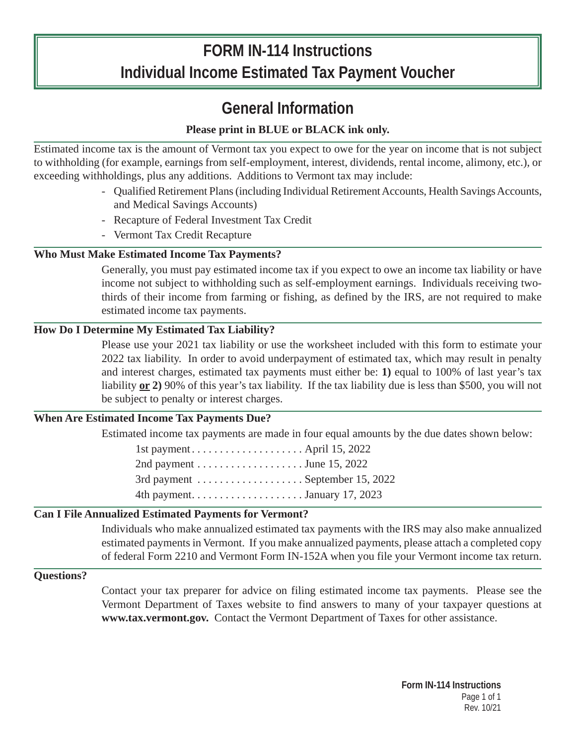# **FORM IN-114 Instructions Individual Income Estimated Tax Payment Voucher**

# **General Information**

# **Please print in BLUE or BLACK ink only.**

Estimated income tax is the amount of Vermont tax you expect to owe for the year on income that is not subject to withholding (for example, earnings from self-employment, interest, dividends, rental income, alimony, etc.), or exceeding withholdings, plus any additions. Additions to Vermont tax may include:

- Qualified Retirement Plans (including Individual Retirement Accounts, Health Savings Accounts, and Medical Savings Accounts)
- Recapture of Federal Investment Tax Credit
- Vermont Tax Credit Recapture

# **Who Must Make Estimated Income Tax Payments?**

Generally, you must pay estimated income tax if you expect to owe an income tax liability or have income not subject to withholding such as self-employment earnings. Individuals receiving twothirds of their income from farming or fishing, as defined by the IRS, are not required to make estimated income tax payments.

# **How Do I Determine My Estimated Tax Liability?**

Please use your 2021 tax liability or use the worksheet included with this form to estimate your 2022 tax liability. In order to avoid underpayment of estimated tax, which may result in penalty and interest charges, estimated tax payments must either be: **1)** equal to 100% of last year's tax liability **or 2)** 90% of this year's tax liability. If the tax liability due is less than \$500, you will not be subject to penalty or interest charges.

# **When Are Estimated Income Tax Payments Due?**

Estimated income tax payments are made in four equal amounts by the due dates shown below:

| 2nd payment $\dots \dots \dots \dots \dots \dots$ June 15, 2022 |
|-----------------------------------------------------------------|
|                                                                 |
|                                                                 |
|                                                                 |

# **Can I File Annualized Estimated Payments for Vermont?**

Individuals who make annualized estimated tax payments with the IRS may also make annualized estimated payments in Vermont. If you make annualized payments, please attach a completed copy of federal Form 2210 and Vermont Form IN-152A when you file your Vermont income tax return.

## **Questions?**

Contact your tax preparer for advice on filing estimated income tax payments. Please see the Vermont Department of Taxes website to find answers to many of your taxpayer questions at **www.tax.vermont.gov.** Contact the Vermont Department of Taxes for other assistance.